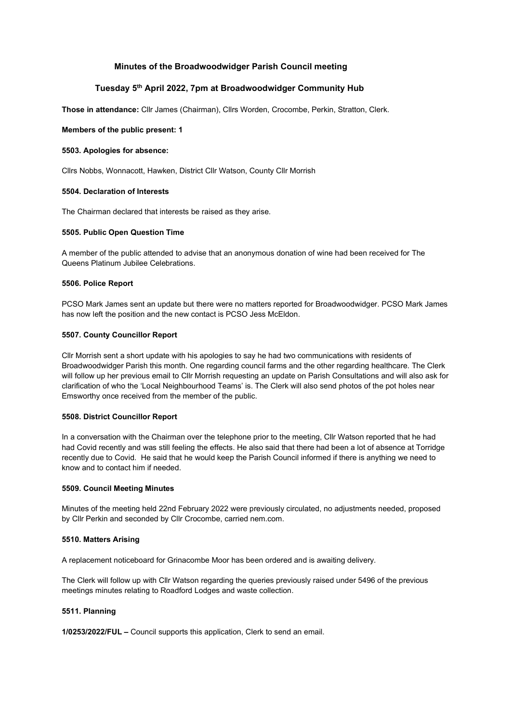# Minutes of the Broadwoodwidger Parish Council meeting

# Tuesday 5th April 2022, 7pm at Broadwoodwidger Community Hub

Those in attendance: Cllr James (Chairman), Cllrs Worden, Crocombe, Perkin, Stratton, Clerk.

## Members of the public present: 1

## 5503. Apologies for absence:

Cllrs Nobbs, Wonnacott, Hawken, District Cllr Watson, County Cllr Morrish

# 5504. Declaration of Interests

The Chairman declared that interests be raised as they arise.

### 5505. Public Open Question Time

A member of the public attended to advise that an anonymous donation of wine had been received for The Queens Platinum Jubilee Celebrations.

### 5506. Police Report

PCSO Mark James sent an update but there were no matters reported for Broadwoodwidger. PCSO Mark James has now left the position and the new contact is PCSO Jess McEldon.

# 5507. County Councillor Report

Cllr Morrish sent a short update with his apologies to say he had two communications with residents of Broadwoodwidger Parish this month. One regarding council farms and the other regarding healthcare. The Clerk will follow up her previous email to Cllr Morrish requesting an update on Parish Consultations and will also ask for clarification of who the 'Local Neighbourhood Teams' is. The Clerk will also send photos of the pot holes near Emsworthy once received from the member of the public.

# 5508. District Councillor Report

In a conversation with the Chairman over the telephone prior to the meeting, Cllr Watson reported that he had had Covid recently and was still feeling the effects. He also said that there had been a lot of absence at Torridge recently due to Covid. He said that he would keep the Parish Council informed if there is anything we need to know and to contact him if needed.

### 5509. Council Meeting Minutes

Minutes of the meeting held 22nd February 2022 were previously circulated, no adjustments needed, proposed by Cllr Perkin and seconded by Cllr Crocombe, carried nem.com.

### 5510. Matters Arising

A replacement noticeboard for Grinacombe Moor has been ordered and is awaiting delivery.

The Clerk will follow up with Cllr Watson regarding the queries previously raised under 5496 of the previous meetings minutes relating to Roadford Lodges and waste collection.

### 5511. Planning

1/0253/2022/FUL – Council supports this application, Clerk to send an email.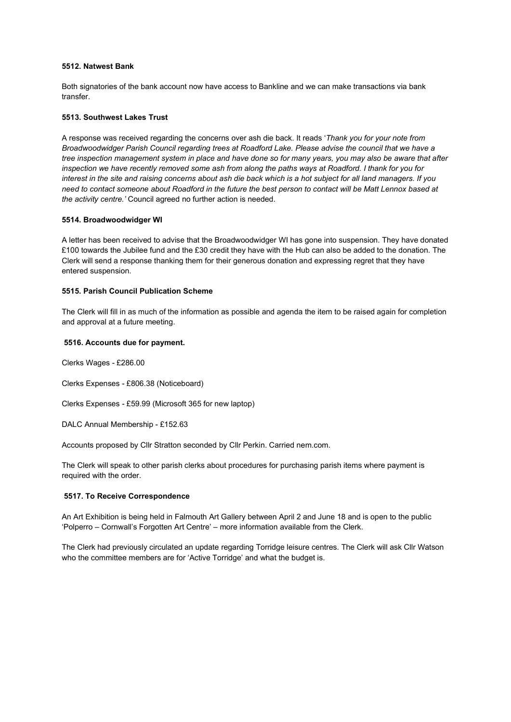## 5512. Natwest Bank

Both signatories of the bank account now have access to Bankline and we can make transactions via bank transfer.

#### 5513. Southwest Lakes Trust

A response was received regarding the concerns over ash die back. It reads 'Thank you for your note from Broadwoodwidger Parish Council regarding trees at Roadford Lake. Please advise the council that we have a tree inspection management system in place and have done so for many years, you may also be aware that after inspection we have recently removed some ash from along the paths ways at Roadford. I thank for you for interest in the site and raising concerns about ash die back which is a hot subject for all land managers. If you need to contact someone about Roadford in the future the best person to contact will be Matt Lennox based at the activity centre.' Council agreed no further action is needed.

## 5514. Broadwoodwidger WI

A letter has been received to advise that the Broadwoodwidger WI has gone into suspension. They have donated £100 towards the Jubilee fund and the £30 credit they have with the Hub can also be added to the donation. The Clerk will send a response thanking them for their generous donation and expressing regret that they have entered suspension.

### 5515. Parish Council Publication Scheme

The Clerk will fill in as much of the information as possible and agenda the item to be raised again for completion and approval at a future meeting.

## 5516. Accounts due for payment.

Clerks Wages - £286.00

Clerks Expenses - £806.38 (Noticeboard)

Clerks Expenses - £59.99 (Microsoft 365 for new laptop)

DALC Annual Membership - £152.63

Accounts proposed by Cllr Stratton seconded by Cllr Perkin. Carried nem.com.

The Clerk will speak to other parish clerks about procedures for purchasing parish items where payment is required with the order.

### 5517. To Receive Correspondence

An Art Exhibition is being held in Falmouth Art Gallery between April 2 and June 18 and is open to the public 'Polperro – Cornwall's Forgotten Art Centre' – more information available from the Clerk.

The Clerk had previously circulated an update regarding Torridge leisure centres. The Clerk will ask Cllr Watson who the committee members are for 'Active Torridge' and what the budget is.